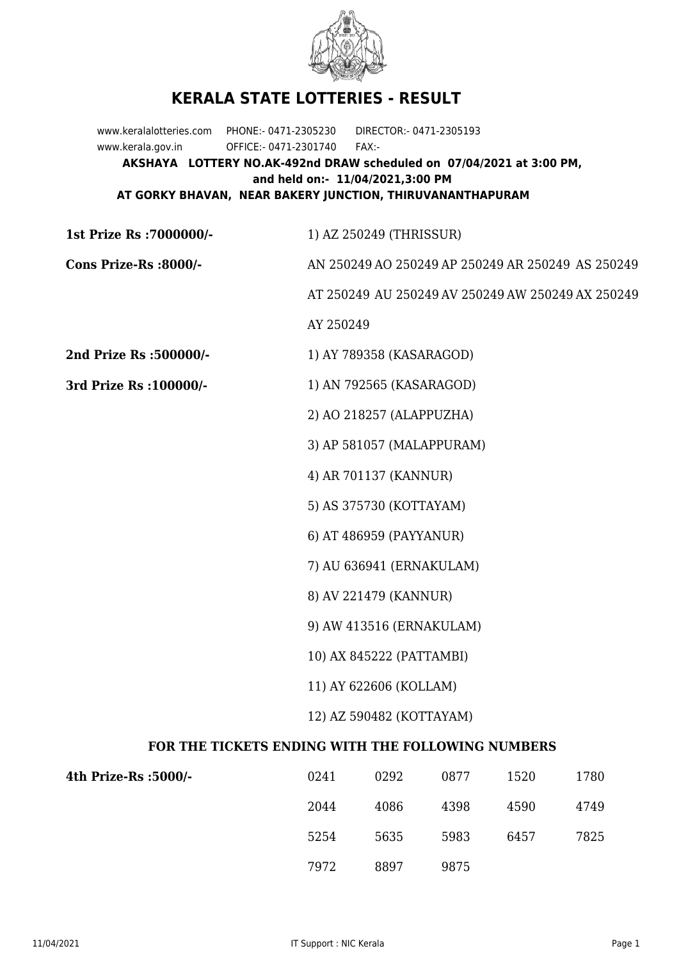

## **KERALA STATE LOTTERIES - RESULT**

www.keralalotteries.com PHONE:- 0471-2305230 DIRECTOR:- 0471-2305193 www.kerala.gov.in OFFICE:- 0471-2301740 FAX:- **AKSHAYA LOTTERY NO.AK-492nd DRAW scheduled on 07/04/2021 at 3:00 PM, and held on:- 11/04/2021,3:00 PM AT GORKY BHAVAN, NEAR BAKERY JUNCTION, THIRUVANANTHAPURAM**

**1st Prize Rs :7000000/-** 1) AZ 250249 (THRISSUR)

**Cons Prize-Rs :8000/-** AN 250249 AO 250249 AP 250249 AR 250249 AS 250249

AT 250249 AU 250249 AV 250249 AW 250249 AX 250249

AY 250249

**2nd Prize Rs :500000/-** 1) AY 789358 (KASARAGOD)

**3rd Prize Rs :100000/-** 1) AN 792565 (KASARAGOD)

2) AO 218257 (ALAPPUZHA)

3) AP 581057 (MALAPPURAM)

4) AR 701137 (KANNUR)

5) AS 375730 (KOTTAYAM)

6) AT 486959 (PAYYANUR)

7) AU 636941 (ERNAKULAM)

8) AV 221479 (KANNUR)

9) AW 413516 (ERNAKULAM)

10) AX 845222 (PATTAMBI)

11) AY 622606 (KOLLAM)

12) AZ 590482 (KOTTAYAM)

## **FOR THE TICKETS ENDING WITH THE FOLLOWING NUMBERS**

| 4th Prize-Rs :5000/- | 0241 | 0292 | 0877 | 1520 | 1780 |
|----------------------|------|------|------|------|------|
|                      | 2044 | 4086 | 4398 | 4590 | 4749 |
|                      | 5254 | 5635 | 5983 | 6457 | 7825 |
|                      | 7972 | 8897 | 9875 |      |      |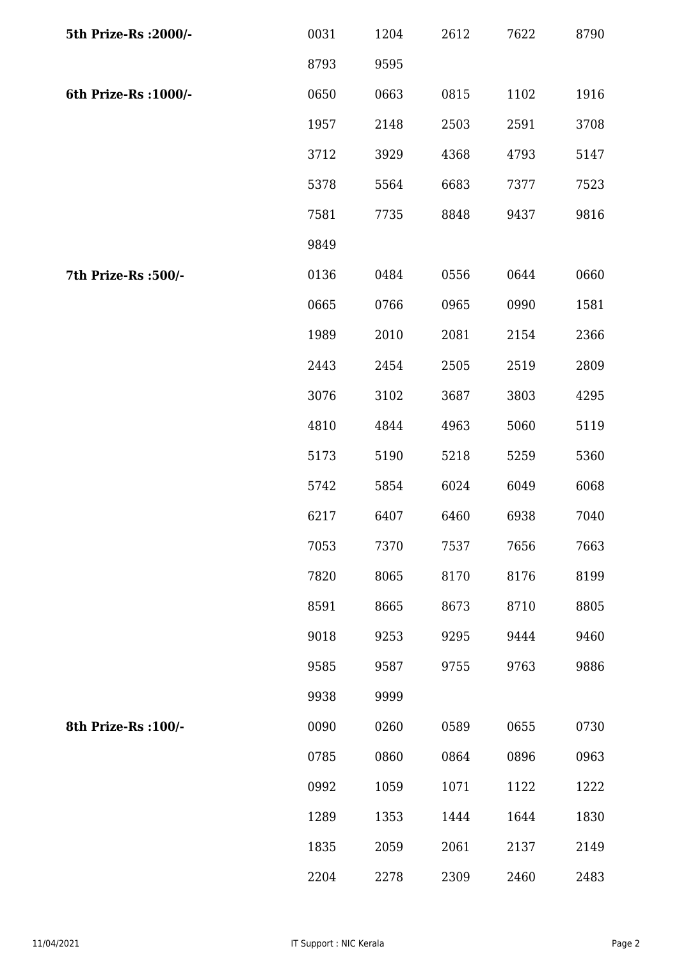| 5th Prize-Rs : 2000/- | 0031 | 1204 | 2612 | 7622 | 8790 |
|-----------------------|------|------|------|------|------|
|                       | 8793 | 9595 |      |      |      |
| 6th Prize-Rs : 1000/- | 0650 | 0663 | 0815 | 1102 | 1916 |
|                       | 1957 | 2148 | 2503 | 2591 | 3708 |
|                       | 3712 | 3929 | 4368 | 4793 | 5147 |
|                       | 5378 | 5564 | 6683 | 7377 | 7523 |
|                       | 7581 | 7735 | 8848 | 9437 | 9816 |
|                       | 9849 |      |      |      |      |
| 7th Prize-Rs : 500/-  | 0136 | 0484 | 0556 | 0644 | 0660 |
|                       | 0665 | 0766 | 0965 | 0990 | 1581 |
|                       | 1989 | 2010 | 2081 | 2154 | 2366 |
|                       | 2443 | 2454 | 2505 | 2519 | 2809 |
|                       | 3076 | 3102 | 3687 | 3803 | 4295 |
|                       | 4810 | 4844 | 4963 | 5060 | 5119 |
|                       | 5173 | 5190 | 5218 | 5259 | 5360 |
|                       | 5742 | 5854 | 6024 | 6049 | 6068 |
|                       | 6217 | 6407 | 6460 | 6938 | 7040 |
|                       | 7053 | 7370 | 7537 | 7656 | 7663 |
|                       | 7820 | 8065 | 8170 | 8176 | 8199 |
|                       | 8591 | 8665 | 8673 | 8710 | 8805 |
|                       | 9018 | 9253 | 9295 | 9444 | 9460 |
|                       | 9585 | 9587 | 9755 | 9763 | 9886 |
|                       | 9938 | 9999 |      |      |      |
| 8th Prize-Rs : 100/-  | 0090 | 0260 | 0589 | 0655 | 0730 |
|                       | 0785 | 0860 | 0864 | 0896 | 0963 |
|                       | 0992 | 1059 | 1071 | 1122 | 1222 |
|                       | 1289 | 1353 | 1444 | 1644 | 1830 |
|                       | 1835 | 2059 | 2061 | 2137 | 2149 |
|                       | 2204 | 2278 | 2309 | 2460 | 2483 |